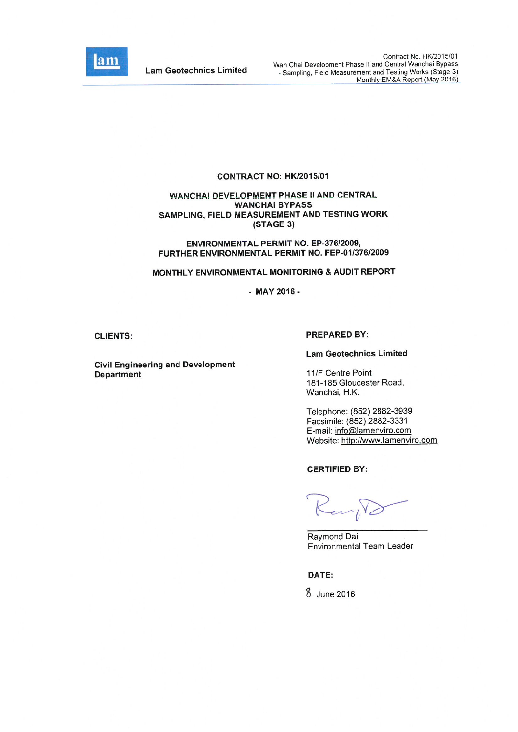

**Lam Geotechnics Limited** 

#### CONTRACT NO: HK/2015/01

#### **WANCHAI DEVELOPMENT PHASE II AND CENTRAL WANCHAI BYPASS** SAMPLING, FIELD MEASUREMENT AND TESTING WORK (STAGE 3)

ENVIRONMENTAL PERMIT NO. EP-376/2009, FURTHER ENVIRONMENTAL PERMIT NO. FEP-01/376/2009

#### MONTHLY ENVIRONMENTAL MONITORING & AUDIT REPORT

 $-MAY 2016 -$ 

#### **CLIENTS:**

# **PREPARED BY:**

**Civil Engineering and Development Department** 

11/F Centre Point

**Lam Geotechnics Limited** 

181-185 Gloucester Road, Wanchai, H.K.

Telephone: (852) 2882-3939 Facsimile: (852) 2882-3331 E-mail: info@lamenviro.com Website: http://www.lamenviro.com

**CERTIFIED BY:** 

Karp.

Raymond Dai Environmental Team Leader

DATE:

8 June 2016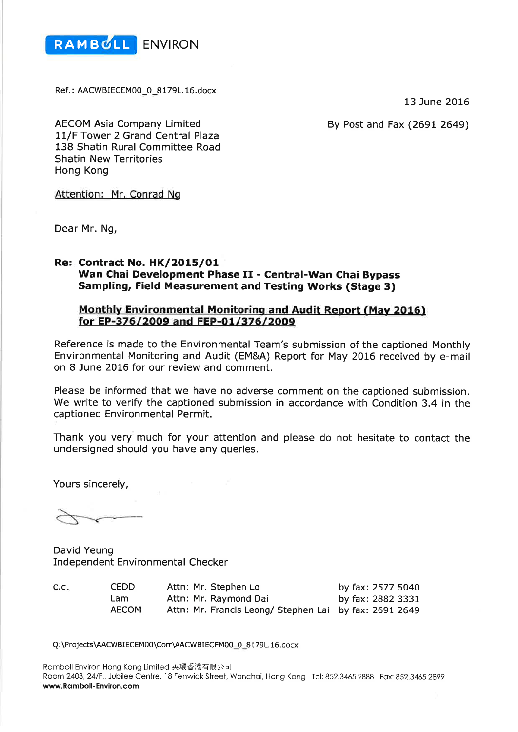

Ref.: AACWBIECEM00\_0\_8179L.16.docx

13 June 2016

By Post and Fax (2691 2649)

**AECOM Asia Company Limited** 11/F Tower 2 Grand Central Plaza 138 Shatin Rural Committee Road **Shatin New Territories** Hong Kong

Attention: Mr. Conrad Ng

Dear Mr. Ng,

# **Re: Contract No. HK/2015/01** Wan Chai Development Phase II - Central-Wan Chai Bypass **Sampling, Field Measurement and Testing Works (Stage 3)**

# **Monthly Environmental Monitoring and Audit Report (May 2016)** for EP-376/2009 and FEP-01/376/2009

Reference is made to the Environmental Team's submission of the captioned Monthly Environmental Monitoring and Audit (EM&A) Report for May 2016 received by e-mail on 8 June 2016 for our review and comment.

Please be informed that we have no adverse comment on the captioned submission. We write to verify the captioned submission in accordance with Condition 3.4 in the captioned Environmental Permit.

Thank you very much for your attention and please do not hesitate to contact the undersigned should you have any queries.

Yours sincerely,

David Yeung **Independent Environmental Checker** 

| C.C. | <b>CEDD</b>  | Attn: Mr. Stephen Lo                                   | by fax: 2577 5040 |
|------|--------------|--------------------------------------------------------|-------------------|
|      | Lam          | Attn: Mr. Raymond Dai                                  | by fax: 2882 3331 |
|      | <b>AECOM</b> | Attn: Mr. Francis Leong/ Stephen Lai by fax: 2691 2649 |                   |

Q:\Projects\AACWBIECEM00\Corr\AACWBIECEM00\_0\_8179L.16.docx

Ramboll Environ Hong Kong Limited 英環香港有限公司 Room 2403, 24/F., Jubilee Centre, 18 Fenwick Street, Wanchai, Hong Kong Tel: 852.3465 2888 Fax: 852.3465 2899 www.Ramboll-Environ.com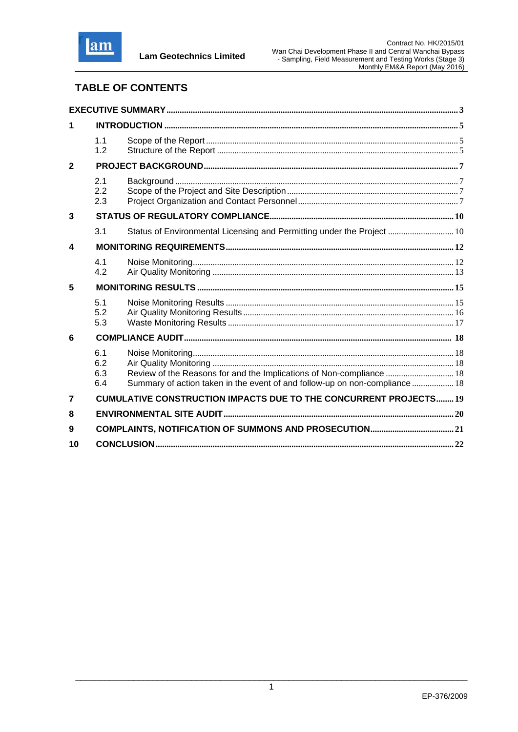

# **TABLE OF CONTENTS**

| 1                       |                          |                                                                                                                                                     |  |
|-------------------------|--------------------------|-----------------------------------------------------------------------------------------------------------------------------------------------------|--|
|                         | 1.1<br>1.2               |                                                                                                                                                     |  |
| $\mathbf{2}$            |                          |                                                                                                                                                     |  |
|                         | 2.1<br>2.2<br>2.3        |                                                                                                                                                     |  |
| 3                       |                          |                                                                                                                                                     |  |
|                         | 3.1                      | Status of Environmental Licensing and Permitting under the Project  10                                                                              |  |
| 4                       |                          |                                                                                                                                                     |  |
|                         | 4.1<br>4.2               |                                                                                                                                                     |  |
| 5                       |                          |                                                                                                                                                     |  |
|                         | 5.1<br>5.2<br>5.3        |                                                                                                                                                     |  |
| 6                       |                          |                                                                                                                                                     |  |
|                         | 6.1<br>6.2<br>6.3<br>6.4 | Review of the Reasons for and the Implications of Non-compliance  18<br>Summary of action taken in the event of and follow-up on non-compliance  18 |  |
| $\overline{\mathbf{z}}$ |                          | <b>CUMULATIVE CONSTRUCTION IMPACTS DUE TO THE CONCURRENT PROJECTS 19</b>                                                                            |  |
| 8                       |                          |                                                                                                                                                     |  |
| 9                       |                          |                                                                                                                                                     |  |
| 10                      |                          |                                                                                                                                                     |  |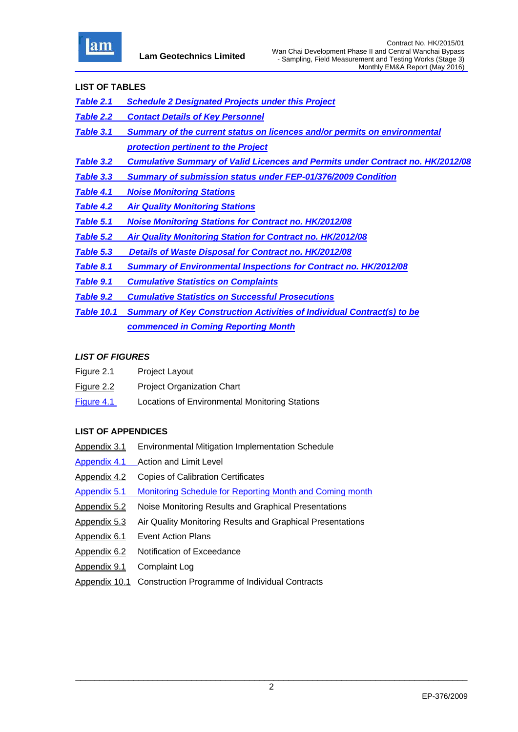

#### **LIST OF TABLES**

- *Table 2.1 Schedule 2 Designated Projects under this Project*
- *Table 2.2 Contact Details of Key Personnel*
- *Table 3.1 Summary of the current status on licences and/or permits on environmental protection pertinent to the Project*
- *Table 3.2 Cumulative Summary of Valid Licences and Permits under Contract no. HK/2012/08*
- *Table 3.3 Summary of submission status under FEP-01/376/2009 Condition*
- *Table 4.1 Noise Monitoring Stations*
- *Table 4.2 Air Quality Monitoring Stations*
- *Table 5.1 Noise Monitoring Stations for Contract no. HK/2012/08*
- *Table 5.2 Air Quality Monitoring Station for Contract no. HK/2012/08*
- *Table 5.3 Details of Waste Disposal for Contract no. HK/2012/08*
- *Table 8.1 Summary of Environmental Inspections for Contract no. HK/2012/08*
- *Table 9.1 Cumulative Statistics on Complaints*
- *Table 9.2 Cumulative Statistics on Successful Prosecutions*
- *Table 10.1 Summary of Key Construction Activities of Individual Contract(s) to be commenced in Coming Reporting Month*

#### *LIST OF FIGURES*

- Figure 2.1 Project Layout
- Figure 2.2 Project Organization Chart
- Figure 4.1 Locations of Environmental Monitoring Stations

# **LIST OF APPENDICES**

- Appendix 3.1 Environmental Mitigation Implementation Schedule
- Appendix 4.1 Action and Limit Level
- Appendix 4.2 Copies of Calibration Certificates
- Appendix 5.1 Monitoring Schedule for Reporting Month and Coming month
- Appendix 5.2 Noise Monitoring Results and Graphical Presentations
- Appendix 5.3 Air Quality Monitoring Results and Graphical Presentations
- Appendix 6.1 Event Action Plans
- Appendix 6.2 Notification of Exceedance
- Appendix 9.1 Complaint Log
- Appendix 10.1 Construction Programme of Individual Contracts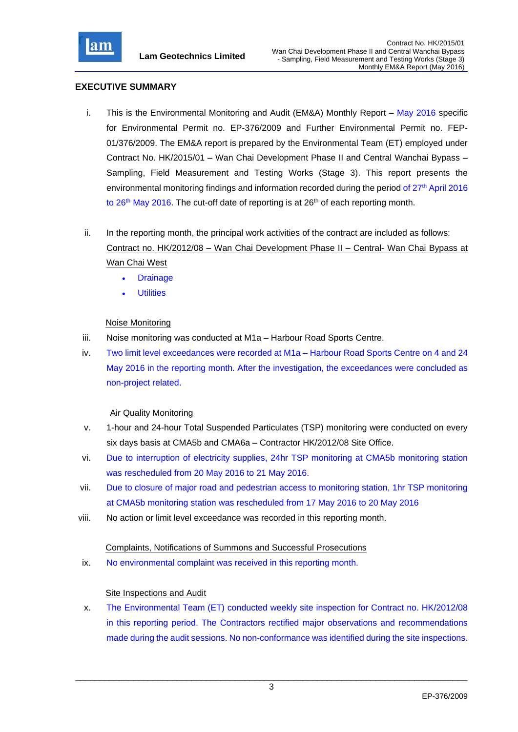

# **EXECUTIVE SUMMARY**

- i. This is the Environmental Monitoring and Audit (EM&A) Monthly Report May 2016 specific for Environmental Permit no. EP-376/2009 and Further Environmental Permit no. FEP-01/376/2009. The EM&A report is prepared by the Environmental Team (ET) employed under Contract No. HK/2015/01 – Wan Chai Development Phase II and Central Wanchai Bypass – Sampling, Field Measurement and Testing Works (Stage 3). This report presents the environmental monitoring findings and information recorded during the period of 27<sup>th</sup> April 2016 to 26<sup>th</sup> May 2016. The cut-off date of reporting is at 26<sup>th</sup> of each reporting month.
- ii. In the reporting month, the principal work activities of the contract are included as follows: Contract no. HK/2012/08 – Wan Chai Development Phase II – Central- Wan Chai Bypass at Wan Chai West
	- **Drainage**
	- **Utilities**

# Noise Monitoring

- iii. Noise monitoring was conducted at M1a Harbour Road Sports Centre.
- iv. Two limit level exceedances were recorded at M1a Harbour Road Sports Centre on 4 and 24 May 2016 in the reporting month. After the investigation, the exceedances were concluded as non-project related.

# Air Quality Monitoring

- v. 1-hour and 24-hour Total Suspended Particulates (TSP) monitoring were conducted on every six days basis at CMA5b and CMA6a – Contractor HK/2012/08 Site Office.
- vi. Due to interruption of electricity supplies, 24hr TSP monitoring at CMA5b monitoring station was rescheduled from 20 May 2016 to 21 May 2016.
- vii. Due to closure of major road and pedestrian access to monitoring station, 1hr TSP monitoring at CMA5b monitoring station was rescheduled from 17 May 2016 to 20 May 2016
- viii. No action or limit level exceedance was recorded in this reporting month.

# Complaints, Notifications of Summons and Successful Prosecutions

ix. No environmental complaint was received in this reporting month.

# Site Inspections and Audit

x. The Environmental Team (ET) conducted weekly site inspection for Contract no. HK/2012/08 in this reporting period. The Contractors rectified major observations and recommendations made during the audit sessions. No non-conformance was identified during the site inspections.

\_\_\_\_\_\_\_\_\_\_\_\_\_\_\_\_\_\_\_\_\_\_\_\_\_\_\_\_\_\_\_\_\_\_\_\_\_\_\_\_\_\_\_\_\_\_\_\_\_\_\_\_\_\_\_\_\_\_\_\_\_\_\_\_\_\_\_\_\_\_\_\_\_\_\_\_\_\_\_\_\_ 3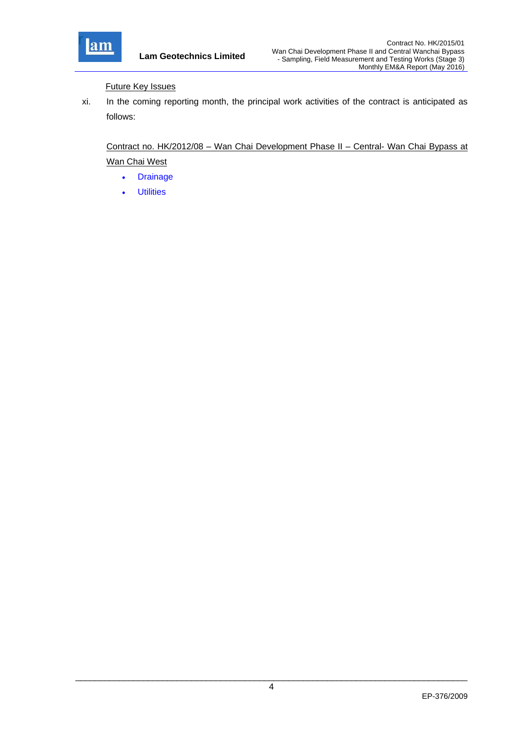

Future Key Issues

xi. In the coming reporting month, the principal work activities of the contract is anticipated as follows:

Contract no. HK/2012/08 – Wan Chai Development Phase II – Central- Wan Chai Bypass at Wan Chai West

- Drainage
- Utilities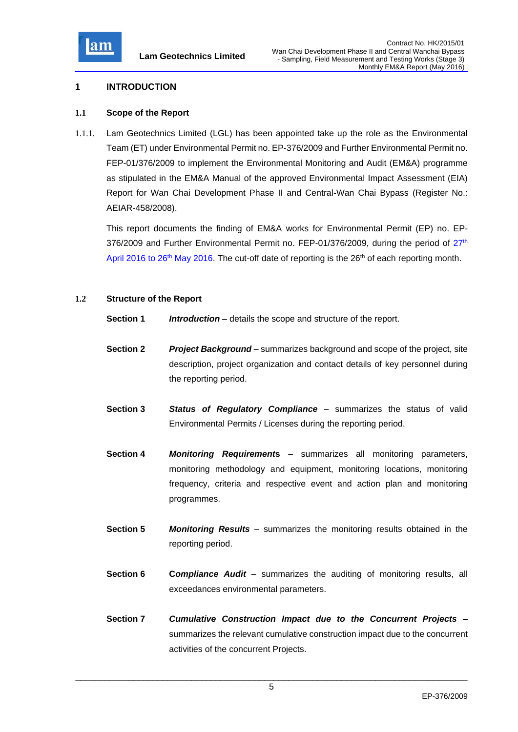

#### **1 INTRODUCTION**

#### **1.1 Scope of the Report**

1.1.1. Lam Geotechnics Limited (LGL) has been appointed take up the role as the Environmental Team (ET) under Environmental Permit no. EP-376/2009 and Further Environmental Permit no. FEP-01/376/2009 to implement the Environmental Monitoring and Audit (EM&A) programme as stipulated in the EM&A Manual of the approved Environmental Impact Assessment (EIA) Report for Wan Chai Development Phase II and Central-Wan Chai Bypass (Register No.: AEIAR-458/2008).

This report documents the finding of EM&A works for Environmental Permit (EP) no. EP-376/2009 and Further Environmental Permit no. FEP-01/376/2009, during the period of  $27<sup>th</sup>$ April 2016 to 26<sup>th</sup> May 2016. The cut-off date of reporting is the 26<sup>th</sup> of each reporting month.

#### **1.2 Structure of the Report**

- **Section 1** *Introduction* details the scope and structure of the report.
- **Section 2** *Project Background* summarizes background and scope of the project, site description, project organization and contact details of key personnel during the reporting period.
- **Section 3** *Status of Regulatory Compliance* summarizes the status of valid Environmental Permits / Licenses during the reporting period.
- **Section 4** *Monitoring Requirement***s** summarizes all monitoring parameters, monitoring methodology and equipment, monitoring locations, monitoring frequency, criteria and respective event and action plan and monitoring programmes.
- **Section 5** *Monitoring Results* summarizes the monitoring results obtained in the reporting period.
- **Section 6 C***ompliance Audit* summarizes the auditing of monitoring results, all exceedances environmental parameters.
- **Section 7** *Cumulative Construction Impact due to the Concurrent Projects*  summarizes the relevant cumulative construction impact due to the concurrent activities of the concurrent Projects.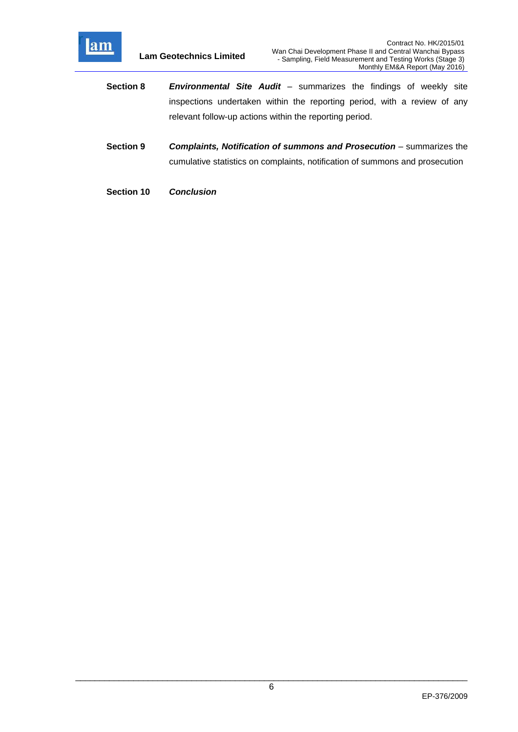

- **Section 8** *Environmental Site Audit* summarizes the findings of weekly site inspections undertaken within the reporting period, with a review of any relevant follow-up actions within the reporting period.
- **Section 9** *Complaints, Notification of summons and Prosecution summarizes the* cumulative statistics on complaints, notification of summons and prosecution
- **Section 10** *Conclusion*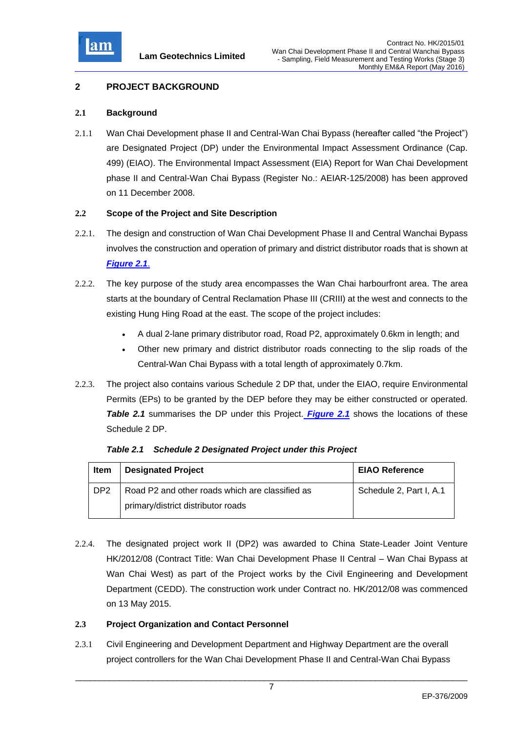

# **2 PROJECT BACKGROUND**

#### **2.1 Background**

2.1.1 Wan Chai Development phase II and Central-Wan Chai Bypass (hereafter called "the Project") are Designated Project (DP) under the Environmental Impact Assessment Ordinance (Cap. 499) (EIAO). The Environmental Impact Assessment (EIA) Report for Wan Chai Development phase II and Central-Wan Chai Bypass (Register No.: AEIAR-125/2008) has been approved on 11 December 2008.

#### **2.2 Scope of the Project and Site Description**

- 2.2.1. The design and construction of Wan Chai Development Phase II and Central Wanchai Bypass involves the construction and operation of primary and district distributor roads that is shown at *Figure 2.1*.
- 2.2.2. The key purpose of the study area encompasses the Wan Chai harbourfront area. The area starts at the boundary of Central Reclamation Phase III (CRIII) at the west and connects to the existing Hung Hing Road at the east. The scope of the project includes:
	- A dual 2-lane primary distributor road, Road P2, approximately 0.6km in length; and
	- Other new primary and district distributor roads connecting to the slip roads of the Central-Wan Chai Bypass with a total length of approximately 0.7km.
- 2.2.3. The project also contains various Schedule 2 DP that, under the EIAO, require Environmental Permits (EPs) to be granted by the DEP before they may be either constructed or operated. **Table 2.1** summarises the DP under this Project. **Figure 2.1** shows the locations of these Schedule 2 DP.

| Item            | <b>Designated Project</b>                       | <b>EIAO Reference</b>   |
|-----------------|-------------------------------------------------|-------------------------|
| DP <sub>2</sub> | Road P2 and other roads which are classified as | Schedule 2, Part I, A.1 |
|                 | primary/district distributor roads              |                         |

*Table 2.1 Schedule 2 Designated Project under this Project*

2.2.4. The designated project work II (DP2) was awarded to China State-Leader Joint Venture HK/2012/08 (Contract Title: Wan Chai Development Phase II Central – Wan Chai Bypass at Wan Chai West) as part of the Project works by the Civil Engineering and Development Department (CEDD). The construction work under Contract no. HK/2012/08 was commenced on 13 May 2015.

# **2.3 Project Organization and Contact Personnel**

2.3.1 Civil Engineering and Development Department and Highway Department are the overall project controllers for the Wan Chai Development Phase II and Central-Wan Chai Bypass

\_\_\_\_\_\_\_\_\_\_\_\_\_\_\_\_\_\_\_\_\_\_\_\_\_\_\_\_\_\_\_\_\_\_\_\_\_\_\_\_\_\_\_\_\_\_\_\_\_\_\_\_\_\_\_\_\_\_\_\_\_\_\_\_\_\_\_\_\_\_\_\_\_\_\_\_\_\_\_\_\_ 7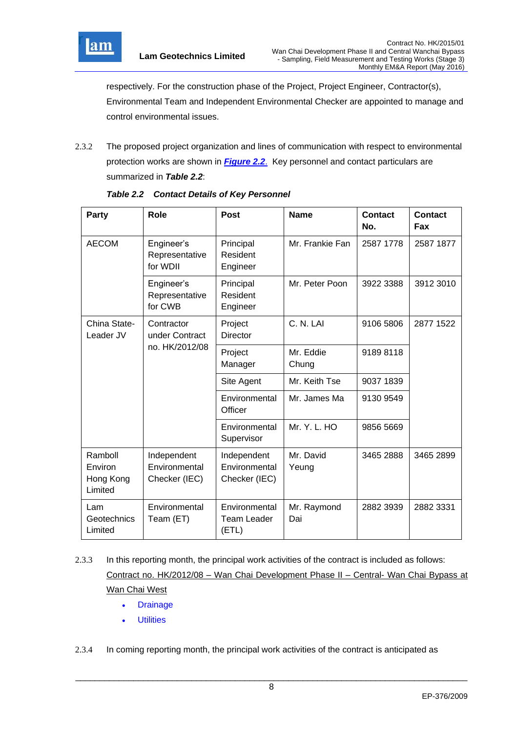

respectively. For the construction phase of the Project, Project Engineer, Contractor(s), Environmental Team and Independent Environmental Checker are appointed to manage and control environmental issues.

2.3.2 The proposed project organization and lines of communication with respect to environmental protection works are shown in *Figure 2.2*. Key personnel and contact particulars are summarized in *Table 2.2*:

| Party                                      | <b>Role</b>                                   | <b>Post</b>                                   | <b>Name</b>        | <b>Contact</b><br>No. | <b>Contact</b><br>Fax |
|--------------------------------------------|-----------------------------------------------|-----------------------------------------------|--------------------|-----------------------|-----------------------|
| <b>AECOM</b>                               | Engineer's<br>Representative<br>for WDII      | Principal<br>Resident<br>Engineer             | Mr. Frankie Fan    | 2587 1778             | 2587 1877             |
|                                            | Engineer's<br>Representative<br>for CWB       | Principal<br>Resident<br>Engineer             | Mr. Peter Poon     | 3922 3388             | 3912 3010             |
| China State-<br>Leader JV                  | Contractor<br>under Contract                  | Project<br><b>Director</b>                    | C. N. LAI          | 9106 5806             | 2877 1522             |
|                                            | no. HK/2012/08                                | Project<br>Manager                            | Mr. Eddie<br>Chung | 91898118              |                       |
|                                            |                                               | Site Agent                                    | Mr. Keith Tse      | 9037 1839             |                       |
|                                            |                                               | Environmental<br>Officer                      | Mr. James Ma       | 9130 9549             |                       |
|                                            |                                               | Environmental<br>Supervisor                   | Mr. Y. L. HO       | 9856 5669             |                       |
| Ramboll<br>Environ<br>Hong Kong<br>Limited | Independent<br>Environmental<br>Checker (IEC) | Independent<br>Environmental<br>Checker (IEC) | Mr. David<br>Yeung | 3465 2888             | 3465 2899             |
| Lam<br>Geotechnics<br>Limited              | Environmental<br>Team (ET)                    | Environmental<br>Team Leader<br>(ETL)         | Mr. Raymond<br>Dai | 2882 3939             | 2882 3331             |

*Table 2.2 Contact Details of Key Personnel*

- 2.3.3 In this reporting month, the principal work activities of the contract is included as follows: Contract no. HK/2012/08 – Wan Chai Development Phase II – Central- Wan Chai Bypass at Wan Chai West
	- **Drainage**
	- Utilities

2.3.4 In coming reporting month, the principal work activities of the contract is anticipated as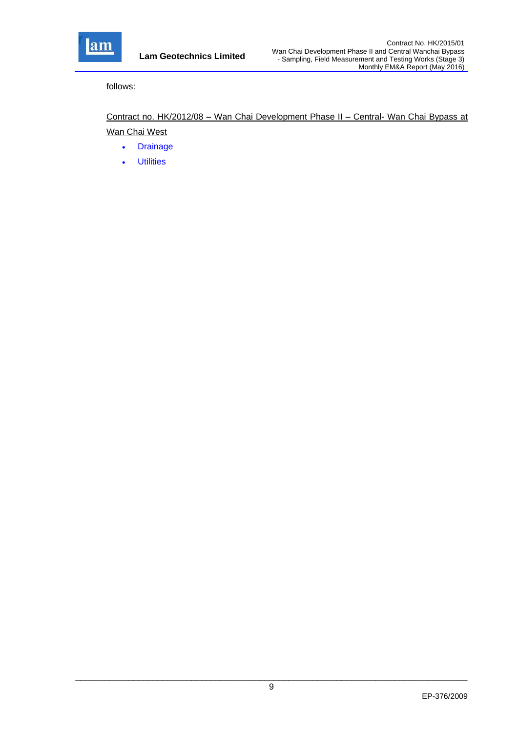

follows:

Contract no. HK/2012/08 – Wan Chai Development Phase II – Central- Wan Chai Bypass at Wan Chai West

- Drainage
- Utilities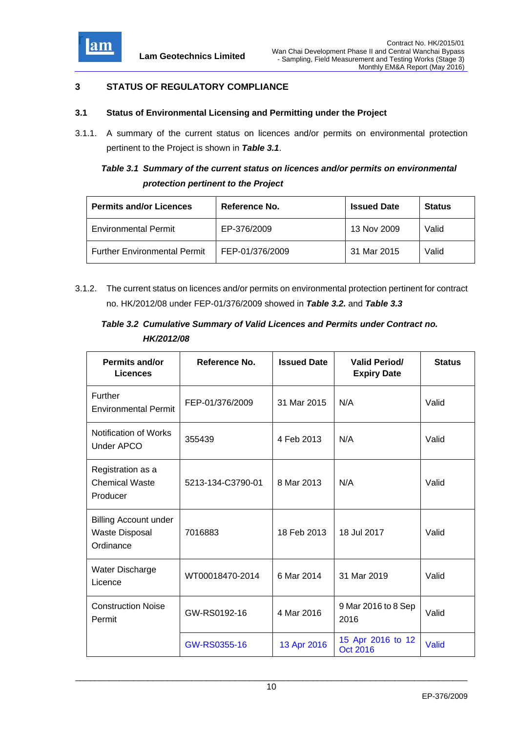

# **3 STATUS OF REGULATORY COMPLIANCE**

#### **3.1 Status of Environmental Licensing and Permitting under the Project**

3.1.1. A summary of the current status on licences and/or permits on environmental protection pertinent to the Project is shown in *Table 3.1*.

# *Table 3.1 Summary of the current status on licences and/or permits on environmental protection pertinent to the Project*

| <b>Permits and/or Licences</b>      | Reference No.   | <b>Issued Date</b> | <b>Status</b> |
|-------------------------------------|-----------------|--------------------|---------------|
| <b>Environmental Permit</b>         | EP-376/2009     | 13 Nov 2009        | Valid         |
| <b>Further Environmental Permit</b> | FEP-01/376/2009 | 31 Mar 2015        | Valid         |

3.1.2. The current status on licences and/or permits on environmental protection pertinent for contract no. HK/2012/08 under FEP-01/376/2009 showed in *Table 3.2.* and *Table 3.3*

# *Table 3.2 Cumulative Summary of Valid Licences and Permits under Contract no. HK/2012/08*

| <b>Permits and/or</b><br><b>Licences</b>                           | Reference No.     | <b>Issued Date</b> | <b>Valid Period/</b><br><b>Expiry Date</b> | <b>Status</b> |
|--------------------------------------------------------------------|-------------------|--------------------|--------------------------------------------|---------------|
| Further<br><b>Environmental Permit</b>                             | FEP-01/376/2009   | 31 Mar 2015        | N/A                                        | Valid         |
| Notification of Works<br>Under APCO                                | 355439            | 4 Feb 2013         | N/A                                        | Valid         |
| Registration as a<br><b>Chemical Waste</b><br>Producer             | 5213-134-C3790-01 | 8 Mar 2013         | N/A                                        | Valid         |
| <b>Billing Account under</b><br><b>Waste Disposal</b><br>Ordinance | 7016883           | 18 Feb 2013        | 18 Jul 2017                                | Valid         |
| Water Discharge<br>Licence                                         | WT00018470-2014   | 6 Mar 2014         | 31 Mar 2019                                | Valid         |
| <b>Construction Noise</b><br>Permit                                | GW-RS0192-16      | 4 Mar 2016         | 9 Mar 2016 to 8 Sep<br>2016                | Valid         |
|                                                                    | GW-RS0355-16      | 13 Apr 2016        | 15 Apr 2016 to 12<br><b>Oct 2016</b>       | Valid         |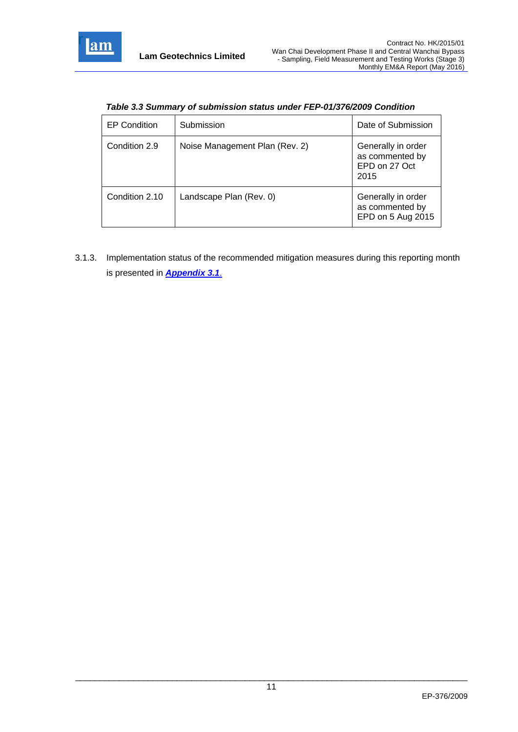

| <b>EP Condition</b> | Submission                     | Date of Submission                                             |
|---------------------|--------------------------------|----------------------------------------------------------------|
| Condition 2.9       | Noise Management Plan (Rev. 2) | Generally in order<br>as commented by<br>EPD on 27 Oct<br>2015 |
| Condition 2.10      | Landscape Plan (Rev. 0)        | Generally in order<br>as commented by<br>EPD on 5 Aug 2015     |

*Table 3.3 Summary of submission status under FEP-01/376/2009 Condition*

3.1.3. Implementation status of the recommended mitigation measures during this reporting month is presented in *Appendix 3.1*.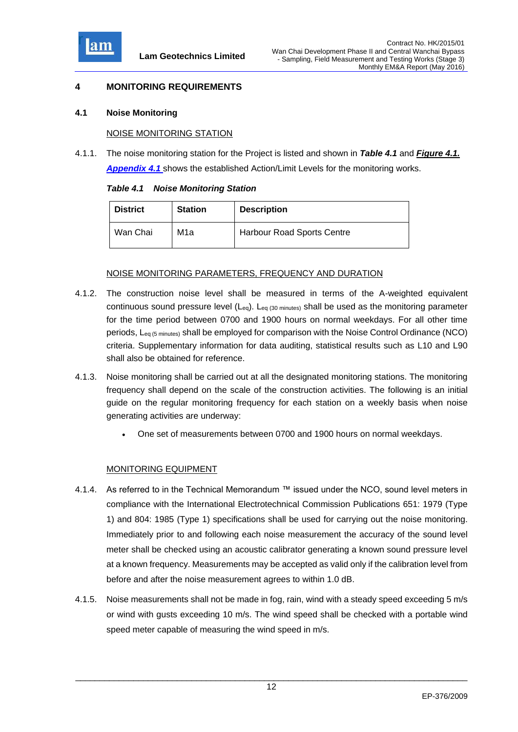

# **4 MONITORING REQUIREMENTS**

#### **4.1 Noise Monitoring**

#### NOISE MONITORING STATION

4.1.1. The noise monitoring station for the Project is listed and shown in *Table 4.1* and *Figure 4.1. Appendix 4.1* shows the established Action/Limit Levels for the monitoring works.

|  | <b>Table 4.1 Noise Monitoring Station</b> |  |
|--|-------------------------------------------|--|
|  |                                           |  |

| <b>District</b> | <b>Station</b> | <b>Description</b>                |
|-----------------|----------------|-----------------------------------|
| Wan Chai        | M1a            | <b>Harbour Road Sports Centre</b> |

# NOISE MONITORING PARAMETERS, FREQUENCY AND DURATION

- 4.1.2. The construction noise level shall be measured in terms of the A-weighted equivalent continuous sound pressure level  $(L_{eq})$ .  $L_{eq}$  (30 minutes) shall be used as the monitoring parameter for the time period between 0700 and 1900 hours on normal weekdays. For all other time periods, Leq (5 minutes) shall be employed for comparison with the Noise Control Ordinance (NCO) criteria. Supplementary information for data auditing, statistical results such as L10 and L90 shall also be obtained for reference.
- 4.1.3. Noise monitoring shall be carried out at all the designated monitoring stations. The monitoring frequency shall depend on the scale of the construction activities. The following is an initial guide on the regular monitoring frequency for each station on a weekly basis when noise generating activities are underway:
	- One set of measurements between 0700 and 1900 hours on normal weekdays.

# MONITORING EQUIPMENT

- 4.1.4. As referred to in the Technical Memorandum ™ issued under the NCO, sound level meters in compliance with the International Electrotechnical Commission Publications 651: 1979 (Type 1) and 804: 1985 (Type 1) specifications shall be used for carrying out the noise monitoring. Immediately prior to and following each noise measurement the accuracy of the sound level meter shall be checked using an acoustic calibrator generating a known sound pressure level at a known frequency. Measurements may be accepted as valid only if the calibration level from before and after the noise measurement agrees to within 1.0 dB.
- 4.1.5. Noise measurements shall not be made in fog, rain, wind with a steady speed exceeding 5 m/s or wind with gusts exceeding 10 m/s. The wind speed shall be checked with a portable wind speed meter capable of measuring the wind speed in m/s.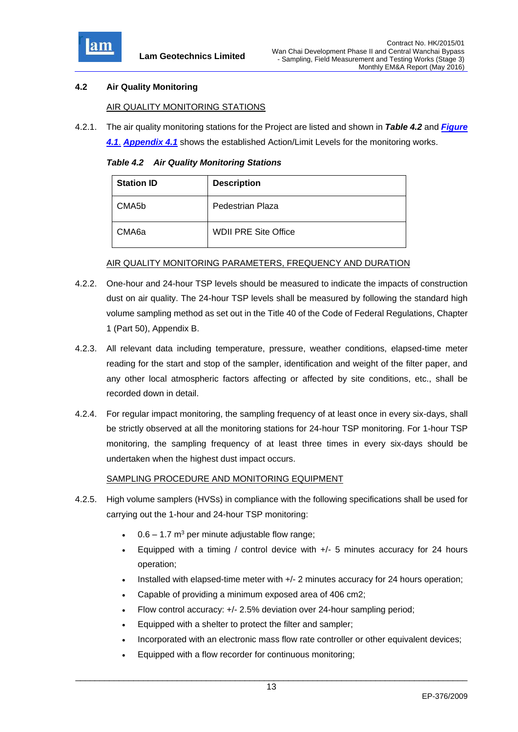

# **4.2 Air Quality Monitoring**

#### AIR QUALITY MONITORING STATIONS

4.2.1. The air quality monitoring stations for the Project are listed and shown in *Table 4.2* and *Figure* 

*4.1*. *Appendix 4.1* shows the established Action/Limit Levels for the monitoring works.

*Table 4.2 Air Quality Monitoring Stations*

| <b>Station ID</b>  | <b>Description</b>          |
|--------------------|-----------------------------|
| CMA <sub>5</sub> b | Pedestrian Plaza            |
| CMA <sub>6a</sub>  | <b>WDII PRE Site Office</b> |

#### AIR QUALITY MONITORING PARAMETERS, FREQUENCY AND DURATION

- 4.2.2. One-hour and 24-hour TSP levels should be measured to indicate the impacts of construction dust on air quality. The 24-hour TSP levels shall be measured by following the standard high volume sampling method as set out in the Title 40 of the Code of Federal Regulations, Chapter 1 (Part 50), Appendix B.
- 4.2.3. All relevant data including temperature, pressure, weather conditions, elapsed-time meter reading for the start and stop of the sampler, identification and weight of the filter paper, and any other local atmospheric factors affecting or affected by site conditions, etc., shall be recorded down in detail.
- 4.2.4. For regular impact monitoring, the sampling frequency of at least once in every six-days, shall be strictly observed at all the monitoring stations for 24-hour TSP monitoring. For 1-hour TSP monitoring, the sampling frequency of at least three times in every six-days should be undertaken when the highest dust impact occurs.

# SAMPLING PROCEDURE AND MONITORING EQUIPMENT

- 4.2.5. High volume samplers (HVSs) in compliance with the following specifications shall be used for carrying out the 1-hour and 24-hour TSP monitoring:
	- $0.6 1.7$  m<sup>3</sup> per minute adjustable flow range;
	- Equipped with a timing / control device with  $+/-$  5 minutes accuracy for 24 hours operation;
	- Installed with elapsed-time meter with +/- 2 minutes accuracy for 24 hours operation;
	- Capable of providing a minimum exposed area of 406 cm2;
	- Flow control accuracy: +/- 2.5% deviation over 24-hour sampling period;
	- Equipped with a shelter to protect the filter and sampler;
	- Incorporated with an electronic mass flow rate controller or other equivalent devices;
	- Equipped with a flow recorder for continuous monitoring;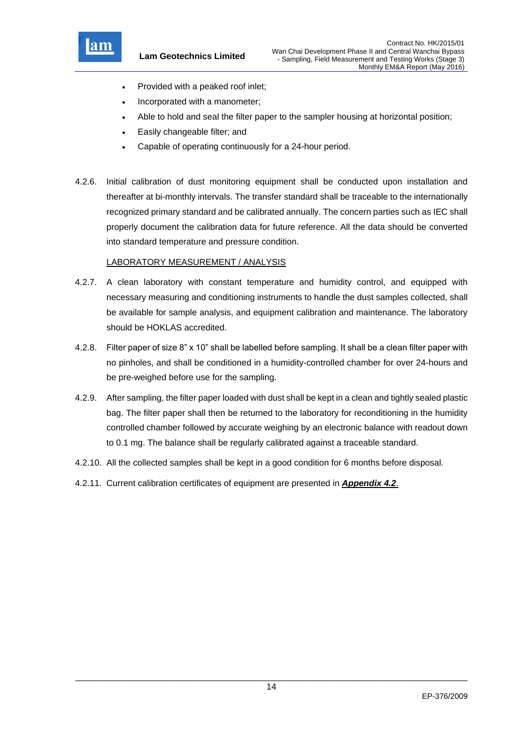

**Lam Geotechnics Limited**

- Provided with a peaked roof inlet;
- Incorporated with a manometer;
- Able to hold and seal the filter paper to the sampler housing at horizontal position;
- Easily changeable filter; and
- Capable of operating continuously for a 24-hour period.
- 4.2.6. Initial calibration of dust monitoring equipment shall be conducted upon installation and thereafter at bi-monthly intervals. The transfer standard shall be traceable to the internationally recognized primary standard and be calibrated annually. The concern parties such as IEC shall properly document the calibration data for future reference. All the data should be converted into standard temperature and pressure condition.

# LABORATORY MEASUREMENT / ANALYSIS

- 4.2.7. A clean laboratory with constant temperature and humidity control, and equipped with necessary measuring and conditioning instruments to handle the dust samples collected, shall be available for sample analysis, and equipment calibration and maintenance. The laboratory should be HOKLAS accredited.
- 4.2.8. Filter paper of size 8" x 10" shall be labelled before sampling. It shall be a clean filter paper with no pinholes, and shall be conditioned in a humidity-controlled chamber for over 24-hours and be pre-weighed before use for the sampling.
- 4.2.9. After sampling, the filter paper loaded with dust shall be kept in a clean and tightly sealed plastic bag. The filter paper shall then be returned to the laboratory for reconditioning in the humidity controlled chamber followed by accurate weighing by an electronic balance with readout down to 0.1 mg. The balance shall be regularly calibrated against a traceable standard.
- 4.2.10. All the collected samples shall be kept in a good condition for 6 months before disposal.
- 4.2.11. Current calibration certificates of equipment are presented in *Appendix 4.2*.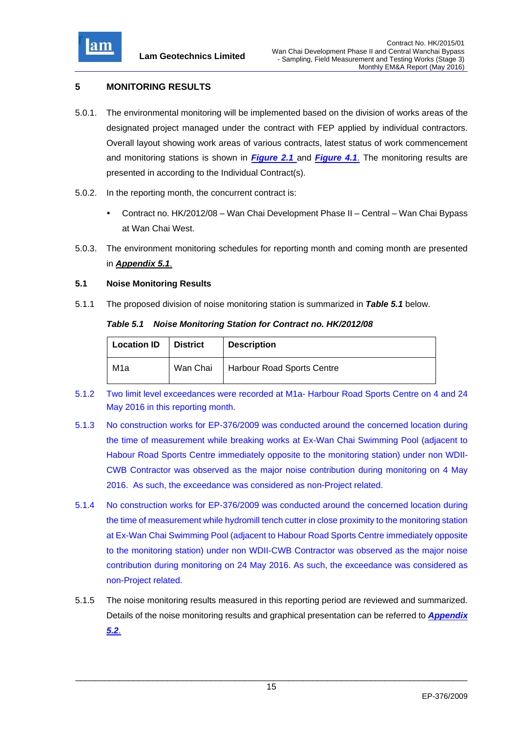

# **5 MONITORING RESULTS**

- 5.0.1. The environmental monitoring will be implemented based on the division of works areas of the designated project managed under the contract with FEP applied by individual contractors. Overall layout showing work areas of various contracts, latest status of work commencement and monitoring stations is shown in *Figure 2.1* and *Figure 4.1*. The monitoring results are presented in according to the Individual Contract(s).
- 5.0.2. In the reporting month, the concurrent contract is:
	- Contract no. HK/2012/08 Wan Chai Development Phase II Central Wan Chai Bypass at Wan Chai West.
- 5.0.3. The environment monitoring schedules for reporting month and coming month are presented in *Appendix 5.1*.

#### **5.1 Noise Monitoring Results**

5.1.1 The proposed division of noise monitoring station is summarized in *Table 5.1* below.

#### *Table 5.1 Noise Monitoring Station for Contract no. HK/2012/08*

| <b>Location ID</b> | <b>District</b> | <b>Description</b>                    |
|--------------------|-----------------|---------------------------------------|
| M1a                |                 | Wan Chai   Harbour Road Sports Centre |

- 5.1.2 Two limit level exceedances were recorded at M1a- Harbour Road Sports Centre on 4 and 24 May 2016 in this reporting month.
- 5.1.3 No construction works for EP-376/2009 was conducted around the concerned location during the time of measurement while breaking works at Ex-Wan Chai Swimming Pool (adjacent to Habour Road Sports Centre immediately opposite to the monitoring station) under non WDII-CWB Contractor was observed as the major noise contribution during monitoring on 4 May 2016. As such, the exceedance was considered as non-Project related.
- 5.1.4 No construction works for EP-376/2009 was conducted around the concerned location during the time of measurement while hydromill tench cutter in close proximity to the monitoring station at Ex-Wan Chai Swimming Pool (adjacent to Habour Road Sports Centre immediately opposite to the monitoring station) under non WDII-CWB Contractor was observed as the major noise contribution during monitoring on 24 May 2016. As such, the exceedance was considered as non-Project related.
- 5.1.5 The noise monitoring results measured in this reporting period are reviewed and summarized. Details of the noise monitoring results and graphical presentation can be referred to *Appendix 5.2*.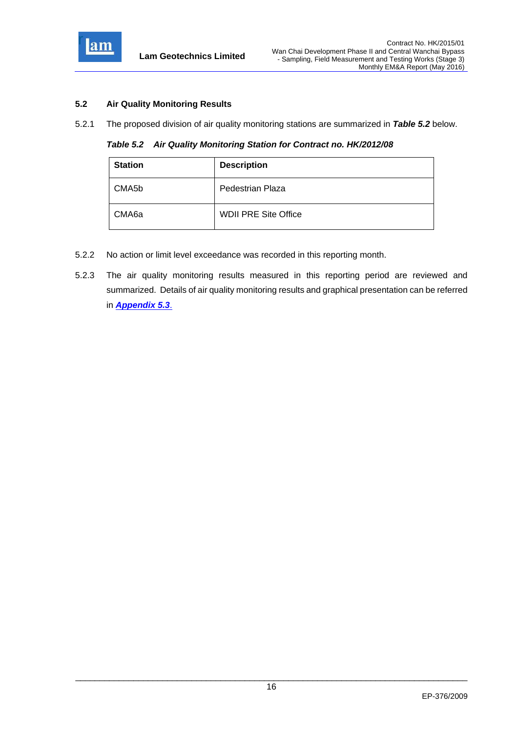

# **5.2 Air Quality Monitoring Results**

5.2.1 The proposed division of air quality monitoring stations are summarized in *Table 5.2* below.

*Table 5.2 Air Quality Monitoring Station for Contract no. HK/2012/08*

| <b>Station</b>     | <b>Description</b>          |
|--------------------|-----------------------------|
| CMA <sub>5</sub> b | Pedestrian Plaza            |
| CMA6a              | <b>WDII PRE Site Office</b> |

- 5.2.2 No action or limit level exceedance was recorded in this reporting month.
- 5.2.3 The air quality monitoring results measured in this reporting period are reviewed and summarized. Details of air quality monitoring results and graphical presentation can be referred in *Appendix 5.3*.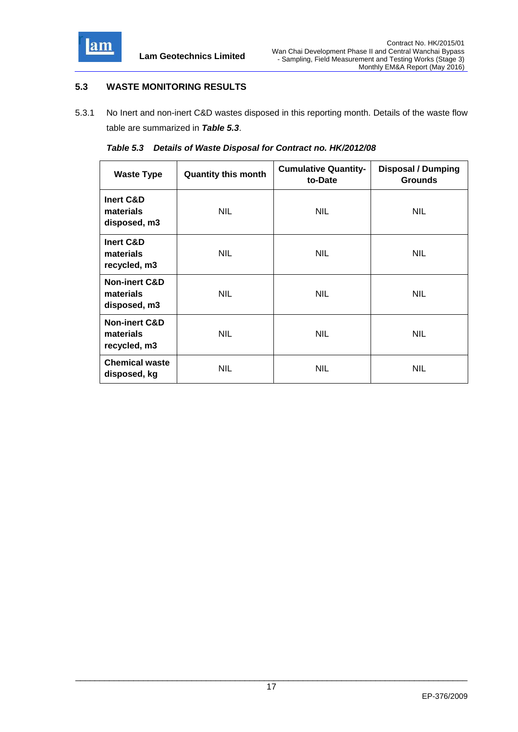

# **5.3 WASTE MONITORING RESULTS**

5.3.1 No Inert and non-inert C&D wastes disposed in this reporting month. Details of the waste flow table are summarized in *Table 5.3*.

|  | Table 5.3 Details of Waste Disposal for Contract no. HK/2012/08 |  |
|--|-----------------------------------------------------------------|--|
|  |                                                                 |  |

| <b>Waste Type</b>                                     | <b>Quantity this month</b> | <b>Cumulative Quantity-</b><br>to-Date | <b>Disposal / Dumping</b><br><b>Grounds</b> |
|-------------------------------------------------------|----------------------------|----------------------------------------|---------------------------------------------|
| Inert C&D<br>materials<br>disposed, m3                | NIL.                       | <b>NIL</b>                             | <b>NIL</b>                                  |
| Inert C&D<br>materials<br>recycled, m3                | NIL.                       | <b>NIL</b>                             | <b>NIL</b>                                  |
| <b>Non-inert C&amp;D</b><br>materials<br>disposed, m3 | NIL.                       | <b>NIL</b>                             | <b>NIL</b>                                  |
| <b>Non-inert C&amp;D</b><br>materials<br>recycled, m3 | <b>NIL</b>                 | <b>NIL</b>                             | <b>NIL</b>                                  |
| <b>Chemical waste</b><br>disposed, kg                 | NIL.                       | <b>NIL</b>                             | <b>NIL</b>                                  |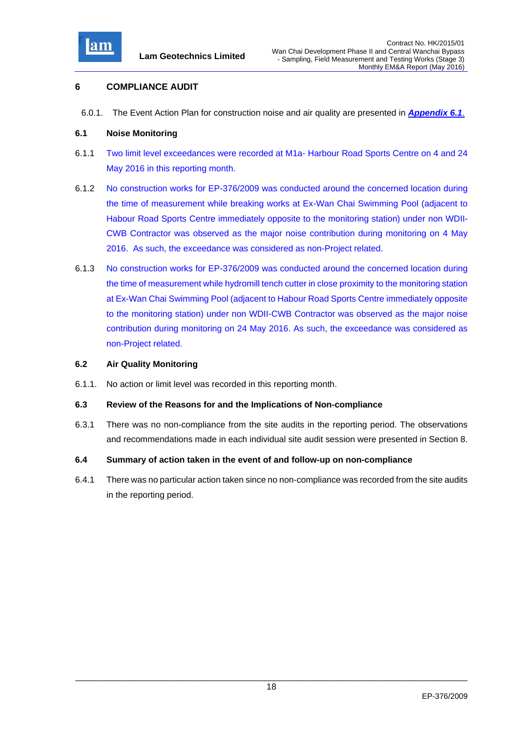

# **6 COMPLIANCE AUDIT**

6.0.1. The Event Action Plan for construction noise and air quality are presented in *Appendix 6.1*.

#### **6.1 Noise Monitoring**

- 6.1.1 Two limit level exceedances were recorded at M1a- Harbour Road Sports Centre on 4 and 24 May 2016 in this reporting month.
- 6.1.2 No construction works for EP-376/2009 was conducted around the concerned location during the time of measurement while breaking works at Ex-Wan Chai Swimming Pool (adjacent to Habour Road Sports Centre immediately opposite to the monitoring station) under non WDII-CWB Contractor was observed as the major noise contribution during monitoring on 4 May 2016. As such, the exceedance was considered as non-Project related.
- 6.1.3 No construction works for EP-376/2009 was conducted around the concerned location during the time of measurement while hydromill tench cutter in close proximity to the monitoring station at Ex-Wan Chai Swimming Pool (adjacent to Habour Road Sports Centre immediately opposite to the monitoring station) under non WDII-CWB Contractor was observed as the major noise contribution during monitoring on 24 May 2016. As such, the exceedance was considered as non-Project related.

#### **6.2 Air Quality Monitoring**

6.1.1. No action or limit level was recorded in this reporting month.

#### **6.3 Review of the Reasons for and the Implications of Non-compliance**

- 6.3.1 There was no non-compliance from the site audits in the reporting period. The observations and recommendations made in each individual site audit session were presented in Section 8.
- **6.4 Summary of action taken in the event of and follow-up on non-compliance**
- 6.4.1 There was no particular action taken since no non-compliance was recorded from the site audits in the reporting period.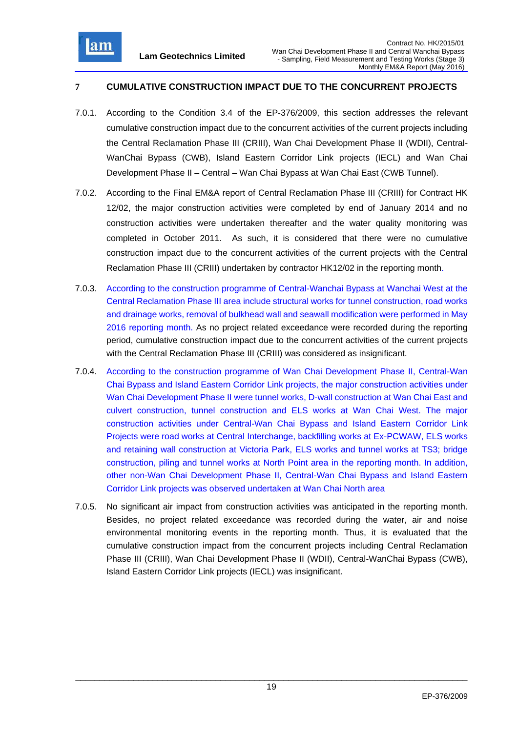

# **7 CUMULATIVE CONSTRUCTION IMPACT DUE TO THE CONCURRENT PROJECTS**

- 7.0.1. According to the Condition 3.4 of the EP-376/2009, this section addresses the relevant cumulative construction impact due to the concurrent activities of the current projects including the Central Reclamation Phase III (CRIII), Wan Chai Development Phase II (WDII), Central-WanChai Bypass (CWB), Island Eastern Corridor Link projects (IECL) and Wan Chai Development Phase II – Central – Wan Chai Bypass at Wan Chai East (CWB Tunnel).
- 7.0.2. According to the Final EM&A report of Central Reclamation Phase III (CRIII) for Contract HK 12/02, the major construction activities were completed by end of January 2014 and no construction activities were undertaken thereafter and the water quality monitoring was completed in October 2011. As such, it is considered that there were no cumulative construction impact due to the concurrent activities of the current projects with the Central Reclamation Phase III (CRIII) undertaken by contractor HK12/02 in the reporting month.
- 7.0.3. According to the construction programme of Central-Wanchai Bypass at Wanchai West at the Central Reclamation Phase III area include structural works for tunnel construction, road works and drainage works, removal of bulkhead wall and seawall modification were performed in May 2016 reporting month. As no project related exceedance were recorded during the reporting period, cumulative construction impact due to the concurrent activities of the current projects with the Central Reclamation Phase III (CRIII) was considered as insignificant.
- 7.0.4. According to the construction programme of Wan Chai Development Phase II, Central-Wan Chai Bypass and Island Eastern Corridor Link projects, the major construction activities under Wan Chai Development Phase II were tunnel works, D-wall construction at Wan Chai East and culvert construction, tunnel construction and ELS works at Wan Chai West. The major construction activities under Central-Wan Chai Bypass and Island Eastern Corridor Link Projects were road works at Central Interchange, backfilling works at Ex-PCWAW, ELS works and retaining wall construction at Victoria Park, ELS works and tunnel works at TS3; bridge construction, piling and tunnel works at North Point area in the reporting month. In addition, other non-Wan Chai Development Phase II, Central-Wan Chai Bypass and Island Eastern Corridor Link projects was observed undertaken at Wan Chai North area
- 7.0.5. No significant air impact from construction activities was anticipated in the reporting month. Besides, no project related exceedance was recorded during the water, air and noise environmental monitoring events in the reporting month. Thus, it is evaluated that the cumulative construction impact from the concurrent projects including Central Reclamation Phase III (CRIII), Wan Chai Development Phase II (WDII), Central-WanChai Bypass (CWB), Island Eastern Corridor Link projects (IECL) was insignificant.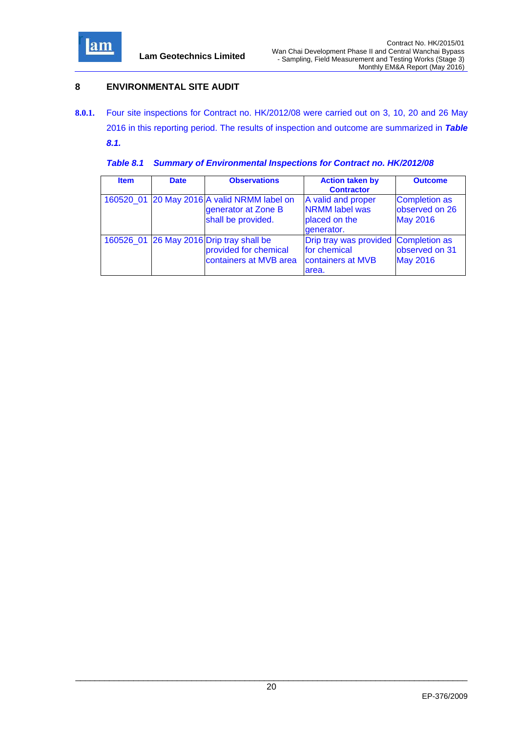

# **8 ENVIRONMENTAL SITE AUDIT**

**8.0.1.** Four site inspections for Contract no. HK/2012/08 were carried out on 3, 10, 20 and 26 May 2016 in this reporting period. The results of inspection and outcome are summarized in *Table 8.1.*

|  |  | Table 8.1 Summary of Environmental Inspections for Contract no. HK/2012/08 |  |  |  |
|--|--|----------------------------------------------------------------------------|--|--|--|
|--|--|----------------------------------------------------------------------------|--|--|--|

| <b>Item</b> | <b>Date</b> | <b>Observations</b>                                                               | <b>Action taken by</b><br><b>Contractor</b>                                        | <b>Outcome</b>                                            |
|-------------|-------------|-----------------------------------------------------------------------------------|------------------------------------------------------------------------------------|-----------------------------------------------------------|
| 160520 01   |             | 20 May 2016 A valid NRMM label on<br>generator at Zone B<br>shall be provided.    | A valid and proper<br><b>NRMM</b> label was<br>placed on the<br>generator.         | <b>Completion as</b><br>observed on 26<br><b>May 2016</b> |
| 160526 01   |             | 26 May 2016 Drip tray shall be<br>provided for chemical<br>containers at MVB area | Drip tray was provided Completion as<br>for chemical<br>containers at MVB<br>area. | observed on 31<br><b>May 2016</b>                         |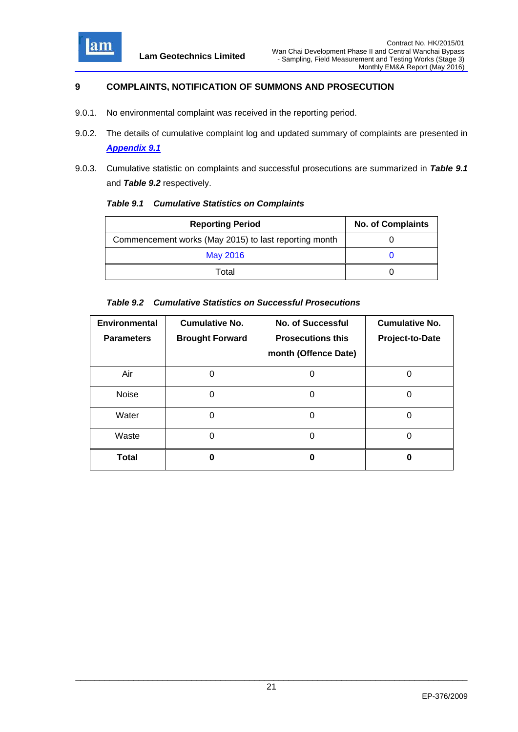

# **9 COMPLAINTS, NOTIFICATION OF SUMMONS AND PROSECUTION**

- 9.0.1. No environmental complaint was received in the reporting period.
- 9.0.2. The details of cumulative complaint log and updated summary of complaints are presented in *Appendix 9.1*
- 9.0.3. Cumulative statistic on complaints and successful prosecutions are summarized in *Table 9.1* and *Table 9.2* respectively.

| <b>Table 9.1 Cumulative Statistics on Complaints</b> |
|------------------------------------------------------|
|------------------------------------------------------|

| <b>Reporting Period</b>                               | <b>No. of Complaints</b> |
|-------------------------------------------------------|--------------------------|
| Commencement works (May 2015) to last reporting month |                          |
| May 2016                                              |                          |
| Total                                                 |                          |

#### *Table 9.2 Cumulative Statistics on Successful Prosecutions*

| <b>Environmental</b><br><b>Parameters</b> | <b>Cumulative No.</b><br><b>Brought Forward</b> | <b>No. of Successful</b><br><b>Prosecutions this</b><br>month (Offence Date) | <b>Cumulative No.</b><br>Project-to-Date |
|-------------------------------------------|-------------------------------------------------|------------------------------------------------------------------------------|------------------------------------------|
| Air                                       |                                                 | O                                                                            |                                          |
| <b>Noise</b>                              | ი                                               | O                                                                            |                                          |
| Water                                     | 0                                               | 0                                                                            |                                          |
| Waste                                     | O                                               | O                                                                            |                                          |
| <b>Total</b>                              | Ω                                               | Ω                                                                            | 0                                        |